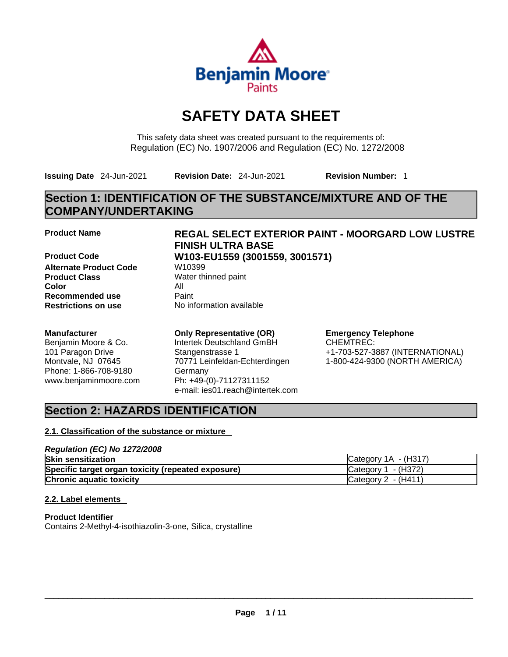

# **SAFETY DATA SHEET**

This safety data sheet was created pursuant to the requirements of: Regulation (EC) No. 1907/2006 and Regulation (EC) No. 1272/2008

**Issuing Date** 24-Jun-2021 **Revision Date:** 24-Jun-2021 **Revision Number:** 1

# **Section 1: IDENTIFICATION OF THE SUBSTANCE/MIXTURE AND OF THE COMPANY/UNDERTAKING**

**Product Code W103-EU1559 (3001559, 3001571) Alternate Product Code W10399 Product Class** Water thinned paint **Color** All **Recommended use** Paint<br> **Restrictions on use** Mo information available **Restrictions** on use

# **Manufacturer**

Benjamin Moore & Co. 101 Paragon Drive Montvale, NJ 07645 Phone: 1-866-708-9180 www.benjaminmoore.com

# **Product Name REGAL SELECT EXTERIOR PAINT - MOORGARD LOW LUSTRE FINISH ULTRA BASE**

#### **Only Representative (OR)** Intertek Deutschland GmBH

Stangenstrasse 1 70771 Leinfeldan-Echterdingen Germany Ph: +49-(0)-71127311152 e-mail: ies01.reach@intertek.com

#### **Emergency Telephone** CHEMTREC:

+1-703-527-3887 (INTERNATIONAL) 1-800-424-9300 (NORTH AMERICA)

# **Section 2: HAZARDS IDENTIFICATION**

# **2.1. Classification of the substance or mixture**

# *Regulation (EC) No 1272/2008* **Skin sensitization** Category 1A - (H317) **Specific target organ toxicity (repeated exposure) Category 1 - (H372) Chronic aquatic toxicity** Chronic aquatic toxicity Category 2 - (H411)

# **2.2. Label elements**

**Product Identifier** Contains 2-Methyl-4-isothiazolin-3-one, Silica, crystalline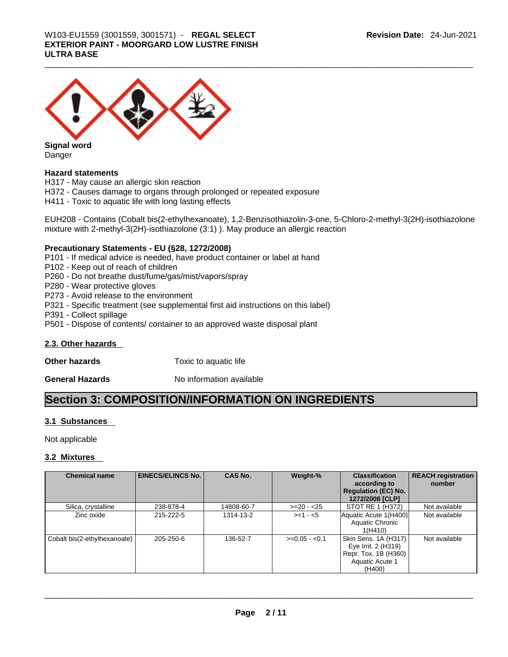# \_\_\_\_\_\_\_\_\_\_\_\_\_\_\_\_\_\_\_\_\_\_\_\_\_\_\_\_\_\_\_\_\_\_\_\_\_\_\_\_\_\_\_\_\_\_\_\_\_\_\_\_\_\_\_\_\_\_\_\_\_\_\_\_\_\_\_\_\_\_\_\_\_\_\_\_\_\_\_\_\_\_\_\_\_\_\_\_\_\_\_\_\_ W103-EU1559 (3001559, 3001571) - **REGAL SELECT EXTERIOR PAINT - MOORGARD LOW LUSTRE FINISH ULTRA BASE**



**Signal word** Danger

# **Hazard statements**

H317 - May cause an allergic skin reaction

H372 - Causes damage to organs through prolonged or repeated exposure

H411 - Toxic to aquatic life with long lasting effects

EUH208 - Contains (Cobalt bis(2-ethylhexanoate), 1,2-Benzisothiazolin-3-one, 5-Chloro-2-methyl-3(2H)-isothiazolone mixture with 2-methyl-3(2H)-isothiazolone (3:1) ). May produce an allergic reaction

# **Precautionary Statements - EU (§28, 1272/2008)**

- P101 If medical advice is needed, have product container or label at hand
- P102 Keep out of reach of children
- P260 Do not breathe dust/fume/gas/mist/vapors/spray
- P280 Wear protective gloves
- P273 Avoid release to the environment
- P321 Specific treatment (see supplemental first aid instructions on this label)
- P391 Collect spillage
- P501 Dispose of contents/ container to an approved waste disposal plant

# **2.3. Other hazards**

**Other hazards Toxic to aquatic life** 

**General Hazards No information available** 

# **Section 3: COMPOSITION/INFORMATION ON INGREDIENTS**

# **3.1 Substances**

Not applicable

# **3.2 Mixtures**

| <b>Chemical name</b>         | <b>EINECS/ELINCS No.</b> | <b>CAS No.</b> | Weight-%       | <b>Classification</b><br>according to<br><b>Regulation (EC) No.</b><br>1272/2008 [CLP]                  | <b>REACH registration</b><br>number |
|------------------------------|--------------------------|----------------|----------------|---------------------------------------------------------------------------------------------------------|-------------------------------------|
| Silica, crystalline          | 238-878-4                | 14808-60-7     | $>=20 - 25$    | STOT RE 1 (H372)                                                                                        | Not available                       |
| Zinc oxide                   | 215-222-5                | 1314-13-2      | $>=1 - 5$      | Aquatic Acute 1(H400)<br>Aquatic Chronic<br>1(H410)                                                     | Not available                       |
| Cobalt bis(2-ethylhexanoate) | 205-250-6                | 136-52-7       | $>=0.05 - 0.1$ | Skin Sens. 1A (H317)<br>Eye Irrit. 2 (H319)<br>Repr. Tox. 1B (H360)<br><b>Aquatic Acute 1</b><br>(H400) | Not available                       |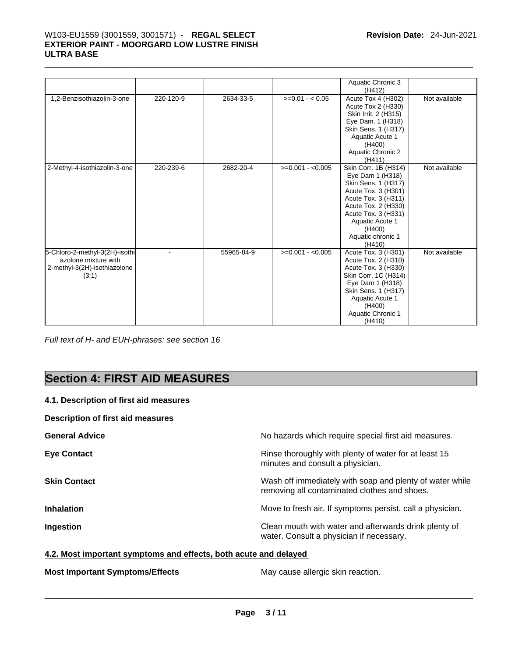# \_\_\_\_\_\_\_\_\_\_\_\_\_\_\_\_\_\_\_\_\_\_\_\_\_\_\_\_\_\_\_\_\_\_\_\_\_\_\_\_\_\_\_\_\_\_\_\_\_\_\_\_\_\_\_\_\_\_\_\_\_\_\_\_\_\_\_\_\_\_\_\_\_\_\_\_\_\_\_\_\_\_\_\_\_\_\_\_\_\_\_\_\_ W103-EU1559 (3001559, 3001571) - **REGAL SELECT EXTERIOR PAINT - MOORGARD LOW LUSTRE FINISH ULTRA BASE**

|                                                                                                 |           |            |                   | Aquatic Chronic 3<br>(H412)                                                                                                                                                                                             |               |
|-------------------------------------------------------------------------------------------------|-----------|------------|-------------------|-------------------------------------------------------------------------------------------------------------------------------------------------------------------------------------------------------------------------|---------------|
| 1,2-Benzisothiazolin-3-one                                                                      | 220-120-9 | 2634-33-5  | $>=0.01 - 0.05$   | Acute Tox 4 (H302)<br>Acute Tox 2 (H330)<br>Skin Irrit. 2 (H315)<br>Eye Dam. 1 (H318)<br>Skin Sens. 1 (H317)<br>Aquatic Acute 1<br>(H400)<br>Aquatic Chronic 2<br>(H411)                                                | Not available |
| 2-Methyl-4-isothiazolin-3-one                                                                   | 220-239-6 | 2682-20-4  | $>=0.001 - 0.005$ | Skin Corr. 1B (H314)<br>Eye Dam 1 (H318)<br>Skin Sens. 1 (H317)<br>Acute Tox. 3 (H301)<br>Acute Tox. 3 (H311)<br>Acute Tox. 2 (H330)<br>Acute Tox. 3 (H331)<br>Aquatic Acute 1<br>(H400)<br>Aquatic chronic 1<br>(H410) | Not available |
| 5-Chloro-2-methyl-3(2H)-isothi<br>azolone mixture with<br>2-methyl-3(2H)-isothiazolone<br>(3:1) |           | 55965-84-9 | $>=0.001 - 0.005$ | Acute Tox. 3 (H301)<br>Acute Tox. 2 (H310)<br>Acute Tox. 3 (H330)<br>Skin Corr. 1C (H314)<br>Eye Dam 1 (H318)<br>Skin Sens. 1 (H317)<br>Aquatic Acute 1<br>(H400)<br>Aquatic Chronic 1<br>(H410)                        | Not available |

*Full text of H- and EUH-phrases: see section 16* 

# **Section 4: FIRST AID MEASURES**

# **4.1. Description of first aid measures**

# **Description of first aid measures**

| <b>General Advice</b> | No hazards which require special first aid measures.                                                     |
|-----------------------|----------------------------------------------------------------------------------------------------------|
| <b>Eye Contact</b>    | Rinse thoroughly with plenty of water for at least 15<br>minutes and consult a physician.                |
| <b>Skin Contact</b>   | Wash off immediately with soap and plenty of water while<br>removing all contaminated clothes and shoes. |
| <b>Inhalation</b>     | Move to fresh air. If symptoms persist, call a physician.                                                |
| Ingestion             | Clean mouth with water and afterwards drink plenty of<br>water. Consult a physician if necessary.        |

# **4.2. Most important symptoms and effects, both acute and delayed**

**Most Important Symptoms/Effects** May cause allergic skin reaction. \_\_\_\_\_\_\_\_\_\_\_\_\_\_\_\_\_\_\_\_\_\_\_\_\_\_\_\_\_\_\_\_\_\_\_\_\_\_\_\_\_\_\_\_\_\_\_\_\_\_\_\_\_\_\_\_\_\_\_\_\_\_\_\_\_\_\_\_\_\_\_\_\_\_\_\_\_\_\_\_\_\_\_\_\_\_\_\_\_\_\_\_\_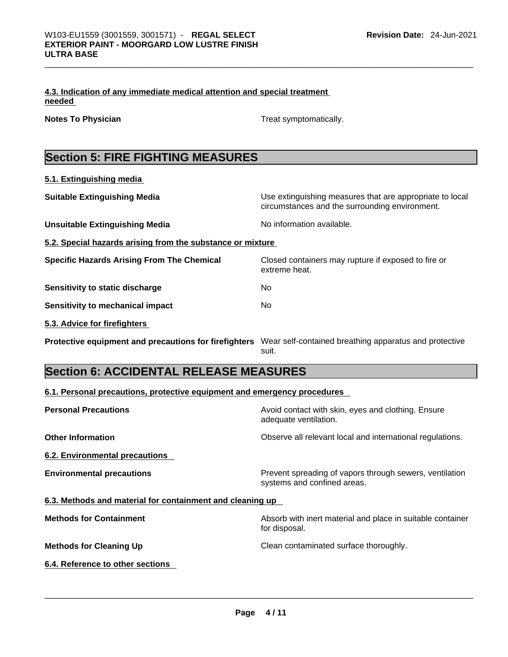|        | 4.3. Indication of any immediate medical attention and special treatment |  |
|--------|--------------------------------------------------------------------------|--|
| needed |                                                                          |  |

**Notes To Physician Treat symptomatically.** 

# **Section 5: FIRE FIGHTING MEASURES**

| 5.1. Extinguishing media                                   |                                                                                                            |
|------------------------------------------------------------|------------------------------------------------------------------------------------------------------------|
| <b>Suitable Extinguishing Media</b>                        | Use extinguishing measures that are appropriate to local<br>circumstances and the surrounding environment. |
| <b>Unsuitable Extinguishing Media</b>                      | No information available.                                                                                  |
| 5.2. Special hazards arising from the substance or mixture |                                                                                                            |
| <b>Specific Hazards Arising From The Chemical</b>          | Closed containers may rupture if exposed to fire or<br>extreme heat.                                       |
| Sensitivity to static discharge                            | No                                                                                                         |
| Sensitivity to mechanical impact                           | No.                                                                                                        |
| 5.3. Advice for firefighters                               |                                                                                                            |
| Protective equipment and precautions for firefighters      | Wear self-contained breathing apparatus and protective<br>suit.                                            |

# **Section 6: ACCIDENTAL RELEASE MEASURES**

# **6.1. Personal precautions, protective equipment and emergency procedures**

| <b>Personal Precautions</b>                               | Avoid contact with skin, eyes and clothing. Ensure<br>adequate ventilation.            |
|-----------------------------------------------------------|----------------------------------------------------------------------------------------|
| <b>Other Information</b>                                  | Observe all relevant local and international regulations.                              |
| 6.2. Environmental precautions                            |                                                                                        |
| <b>Environmental precautions</b>                          | Prevent spreading of vapors through sewers, ventilation<br>systems and confined areas. |
| 6.3. Methods and material for containment and cleaning up |                                                                                        |
| <b>Methods for Containment</b>                            | Absorb with inert material and place in suitable container<br>for disposal.            |
| <b>Methods for Cleaning Up</b>                            | Clean contaminated surface thoroughly.                                                 |
| 6.4. Reference to other sections                          |                                                                                        |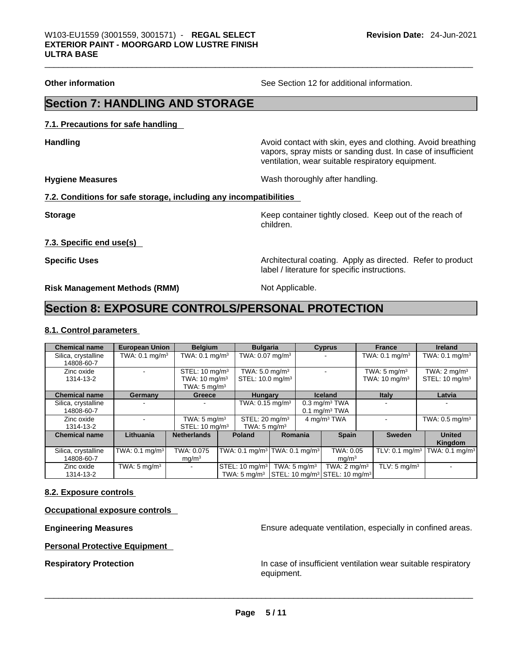**Other information** See Section 12 for additional information.

# **Section 7: HANDLING AND STORAGE**

**7.1. Precautions for safe handling** 

**Handling Handling Avoid contact with skin, eyes and clothing. Avoid breathing** vapors, spray mists or sanding dust. In case of insufficient ventilation, wear suitable respiratory equipment.

**Hygiene Measures** Wash thoroughly after handling.

# **7.2. Conditions for safe storage, including any incompatibilities**

**Storage Keep container tightly closed. Keep out of the reach of Keep** container tightly closed. Keep out of the reach of children.

**7.3. Specific end use(s)** 

**Specific Uses <b>Specific Uses Architectural coating. Apply as directed. Refer to product Specific Uses** label / literature for specific instructions.

**Risk Management Methods (RMM)** Not Applicable.

# **Section 8: EXPOSURE CONTROLS/PERSONAL PROTECTION**

# **8.1. Control parameters**

| <b>Chemical name</b>              | <b>European Union</b>        | <b>Belgium</b>                                                                    | <b>Bulgaria</b>                                           |                         | <b>Cyprus</b>                                                                                             | <b>France</b>                                       | <b>Ireland</b>                                        |
|-----------------------------------|------------------------------|-----------------------------------------------------------------------------------|-----------------------------------------------------------|-------------------------|-----------------------------------------------------------------------------------------------------------|-----------------------------------------------------|-------------------------------------------------------|
| Silica, crystalline<br>14808-60-7 | TWA: $0.1 \text{ mg/m}^3$    | TWA: $0.1$ mg/m <sup>3</sup>                                                      | TWA: $0.07$ mg/m <sup>3</sup>                             |                         |                                                                                                           | TWA: $0.1 \text{ mg/m}^3$                           | TWA: $0.1$ mg/m <sup>3</sup>                          |
| Zinc oxide<br>1314-13-2           |                              | STEL: 10 mg/m <sup>3</sup><br>TWA: $10 \text{ mg/m}^3$<br>TWA: $5 \text{ mg/m}^3$ | TWA: $5.0 \text{ mg/m}^3$<br>STEL: 10.0 mg/m <sup>3</sup> |                         |                                                                                                           | TWA: $5 \text{ mg/m}^3$<br>TWA: $10 \text{ mg/m}^3$ | TWA: $2 \text{ mq/m}^3$<br>STEL: 10 mg/m <sup>3</sup> |
| <b>Chemical name</b>              | Germany                      | Greece                                                                            | <b>Hungary</b>                                            |                         | <b>Iceland</b>                                                                                            | <b>Italy</b>                                        | Latvia                                                |
| Silica, crystalline<br>14808-60-7 |                              |                                                                                   | TWA: 0.15 mg/m <sup>3</sup>                               |                         | $0.3$ mg/m $3$ TWA<br>$0.1$ mg/m <sup>3</sup> TWA                                                         |                                                     |                                                       |
| Zinc oxide<br>1314-13-2           |                              | TWA: $5 \text{ mg/m}^3$<br>STEL: 10 mg/m <sup>3</sup>                             | STEL: 20 mg/m <sup>3</sup><br>TWA: $5 \text{ mg/m}^3$     |                         | 4 mg/m <sup>3</sup> TWA                                                                                   |                                                     | TWA: $0.5$ mg/m <sup>3</sup>                          |
| <b>Chemical name</b>              | Lithuania                    | <b>Netherlands</b>                                                                | <b>Poland</b>                                             | Romania                 | <b>Spain</b>                                                                                              | <b>Sweden</b>                                       | <b>United</b><br>Kingdom                              |
| Silica, crystalline<br>14808-60-7 | TWA: $0.1$ mg/m <sup>3</sup> | TWA: 0.075<br>mg/m <sup>3</sup>                                                   | TWA: 0.1 mg/m <sup>3</sup> TWA: 0.1 mg/m <sup>3</sup>     |                         | TWA: 0.05<br>mg/m <sup>3</sup>                                                                            | TLV: $0.1 \text{ mg/m}^3$                           | TWA: $0.1$ mg/m <sup>3</sup>                          |
| Zinc oxide<br>1314-13-2           | TWA: $5 \text{ mg/m}^3$      |                                                                                   | STEL: 10 mg/m <sup>3</sup>                                | TWA: $5 \text{ mg/m}^3$ | TWA: $2 \text{ mg/m}^3$<br>TWA: 5 mg/m <sup>3</sup> STEL: 10 mg/m <sup>3</sup> STEL: 10 mg/m <sup>3</sup> | TLV: $5 \text{ mg/m}^3$                             |                                                       |

## **8.2. Exposure controls**

**Occupational exposure controls** 

**Personal Protective Equipment** 

**Engineering Measures Ensure** Ensure adequate ventilation, especially in confined areas.

**Respiratory Protection In case of insufficient ventilation wear suitable respiratory** equipment. \_\_\_\_\_\_\_\_\_\_\_\_\_\_\_\_\_\_\_\_\_\_\_\_\_\_\_\_\_\_\_\_\_\_\_\_\_\_\_\_\_\_\_\_\_\_\_\_\_\_\_\_\_\_\_\_\_\_\_\_\_\_\_\_\_\_\_\_\_\_\_\_\_\_\_\_\_\_\_\_\_\_\_\_\_\_\_\_\_\_\_\_\_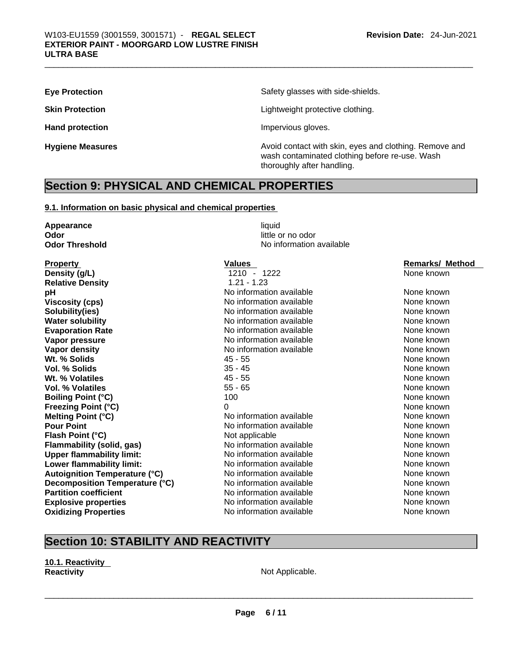**Eye Protection <b>Exercise Safety glasses** with side-shields.

**Skin Protection Skin Protection Lightweight protective clothing.** 

Hand protection **Impervious** gloves.

**Hygiene Measures Avoid contact with skin, eyes and clothing. Remove and Hygiene Measures Avoid contact with skin, eyes and clothing. Remove and** wash contaminated clothing before re-use. Wash thoroughly after handling.

# **Section 9: PHYSICAL AND CHEMICAL PROPERTIES**

# **9.1. Information on basic physical and chemical properties**

| Appearance                           | liquid                   |                        |
|--------------------------------------|--------------------------|------------------------|
| Odor                                 | little or no odor        |                        |
| <b>Odor Threshold</b>                | No information available |                        |
| <b>Property</b>                      | <b>Values</b>            | <b>Remarks/ Method</b> |
| Density (g/L)                        | 1210 - 1222              | None known             |
| <b>Relative Density</b>              | $1.21 - 1.23$            |                        |
| рH                                   | No information available | None known             |
| <b>Viscosity (cps)</b>               | No information available | None known             |
| Solubility(ies)                      | No information available | None known             |
| <b>Water solubility</b>              | No information available | None known             |
| <b>Evaporation Rate</b>              | No information available | None known             |
| Vapor pressure                       | No information available | None known             |
| Vapor density                        | No information available | None known             |
| Wt. % Solids                         | $45 - 55$                | None known             |
| <b>Vol. % Solids</b>                 | $35 - 45$                | None known             |
| Wt. % Volatiles                      | $45 - 55$                | None known             |
| <b>Vol. % Volatiles</b>              | $55 - 65$                | None known             |
| <b>Boiling Point (°C)</b>            | 100                      | None known             |
| <b>Freezing Point (°C)</b>           | 0                        | None known             |
| Melting Point (°C)                   | No information available | None known             |
| <b>Pour Point</b>                    | No information available | None known             |
| Flash Point (°C)                     | Not applicable           | None known             |
| Flammability (solid, gas)            | No information available | None known             |
| <b>Upper flammability limit:</b>     | No information available | None known             |
| Lower flammability limit:            | No information available | None known             |
| <b>Autoignition Temperature (°C)</b> | No information available | None known             |
| Decomposition Temperature (°C)       | No information available | None known             |
| <b>Partition coefficient</b>         | No information available | None known             |
| <b>Explosive properties</b>          | No information available | None known             |
| <b>Oxidizing Properties</b>          | No information available | None known             |

# **Section 10: STABILITY AND REACTIVITY**

## **10.1. Reactivity Reactivity Not Applicable. Not Applicable.**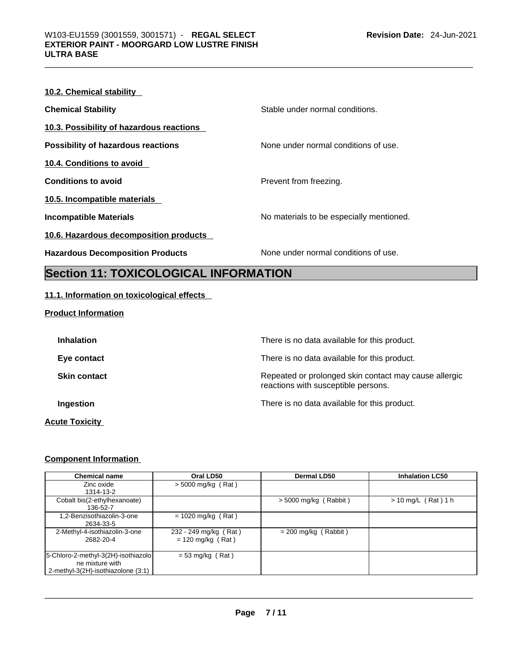| 10.2. Chemical stability                  |                                          |
|-------------------------------------------|------------------------------------------|
| <b>Chemical Stability</b>                 | Stable under normal conditions.          |
| 10.3. Possibility of hazardous reactions  |                                          |
| <b>Possibility of hazardous reactions</b> | None under normal conditions of use.     |
| 10.4. Conditions to avoid                 |                                          |
| <b>Conditions to avoid</b>                | Prevent from freezing.                   |
| 10.5. Incompatible materials              |                                          |
| <b>Incompatible Materials</b>             | No materials to be especially mentioned. |
| 10.6. Hazardous decomposition products    |                                          |
| <b>Hazardous Decomposition Products</b>   | None under normal conditions of use.     |

# **Section 11: TOXICOLOGICAL INFORMATION**

# **11.1. Information on toxicological effects**

**Product Information**

| <b>Inhalation</b>     | There is no data available for this product.                                                 |
|-----------------------|----------------------------------------------------------------------------------------------|
| Eye contact           | There is no data available for this product.                                                 |
| <b>Skin contact</b>   | Repeated or prolonged skin contact may cause allergic<br>reactions with susceptible persons. |
| Ingestion             | There is no data available for this product.                                                 |
| <b>Acute Toxicity</b> |                                                                                              |

# **Component Information**

| <b>Chemical name</b>                | Oral LD50             | Dermal LD50             | <b>Inhalation LC50</b> |
|-------------------------------------|-----------------------|-------------------------|------------------------|
| Zinc oxide                          | $>$ 5000 mg/kg (Rat)  |                         |                        |
| 1314-13-2                           |                       |                         |                        |
| Cobalt bis(2-ethylhexanoate)        |                       | $>$ 5000 mg/kg (Rabbit) | $> 10$ mg/L (Rat) 1 h  |
| 136-52-7                            |                       |                         |                        |
| 1,2-Benzisothiazolin-3-one          | $= 1020$ mg/kg (Rat)  |                         |                        |
| 2634-33-5                           |                       |                         |                        |
| 2-Methyl-4-isothiazolin-3-one       | 232 - 249 mg/kg (Rat) | $= 200$ mg/kg (Rabbit)  |                        |
| 2682-20-4                           | $= 120$ mg/kg (Rat)   |                         |                        |
|                                     |                       |                         |                        |
| 5-Chloro-2-methyl-3(2H)-isothiazolo | $= 53$ mg/kg (Rat)    |                         |                        |
| ne mixture with                     |                       |                         |                        |
| 2-methyl-3(2H)-isothiazolone (3:1)  |                       |                         |                        |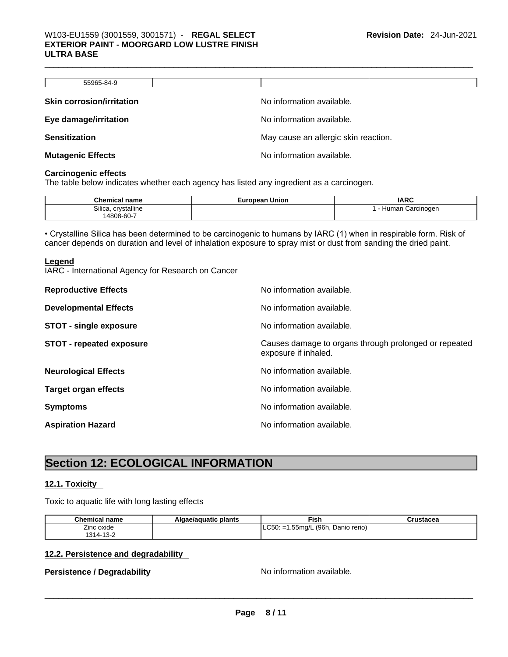| 55965-84-9                       |                                      |
|----------------------------------|--------------------------------------|
| <b>Skin corrosion/irritation</b> | No information available.            |
| Eye damage/irritation            | No information available.            |
| <b>Sensitization</b>             | May cause an allergic skin reaction. |
| <b>Mutagenic Effects</b>         | No information available.            |

#### **Carcinogenic effects**

The table below indicates whether each agency has listed any ingredient as a carcinogen.

| <b>Chemical name</b>   | <b>European Union</b> | <b>IARC</b>         |
|------------------------|-----------------------|---------------------|
| crystalline<br>Silica. |                       | Carcinogen<br>Humar |
| 14808-60-7             |                       |                     |

• Crystalline Silica has been determined to be carcinogenic to humans by IARC (1) when in respirable form. Risk of cancer depends on duration and level of inhalation exposure to spray mist or dust from sanding the dried paint.

#### **Legend**

IARC - International Agency for Research on Cancer

| <b>Reproductive Effects</b>     | No information available.                                                     |
|---------------------------------|-------------------------------------------------------------------------------|
| <b>Developmental Effects</b>    | No information available.                                                     |
| <b>STOT - single exposure</b>   | No information available.                                                     |
| <b>STOT - repeated exposure</b> | Causes damage to organs through prolonged or repeated<br>exposure if inhaled. |
| <b>Neurological Effects</b>     | No information available.                                                     |
| <b>Target organ effects</b>     | No information available.                                                     |
| <b>Symptoms</b>                 | No information available.                                                     |
| <b>Aspiration Hazard</b>        | No information available.                                                     |

# **Section 12: ECOLOGICAL INFORMATION**

## **12.1. Toxicity**

Toxic to aquatic life with long lasting effects

| <b>Chemical name</b> | Algae/aguatic plants | ™ish                                   | Crustacea |
|----------------------|----------------------|----------------------------------------|-----------|
| Zinc oxide           |                      | $ $ LC50: =1.55mg/L (96h, Danio rerio) |           |
| 1314-13-2            |                      |                                        |           |

## **12.2. Persistence and degradability**

# **Persistence / Degradability and areas are considered to the model of Degradability Resistence / Degradability**  $\sim$  **No information available.**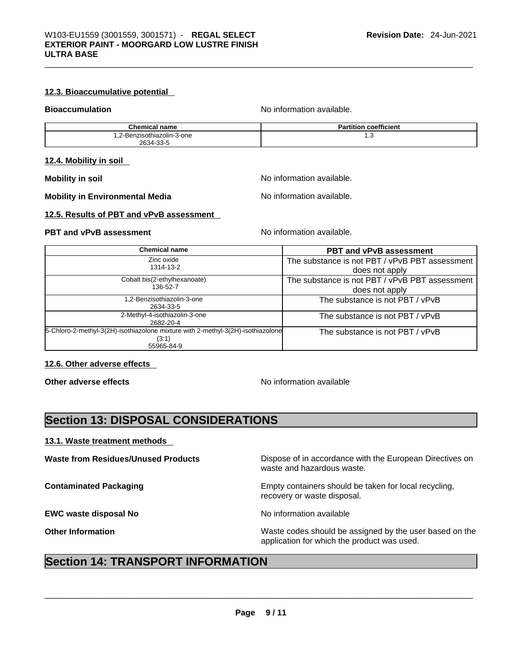## **12.3. Bioaccumulative potential**

**Bioaccumulation Notified and Series and Series and Series Algebra Bioaccumulation available.** 

| <b>Chemical name</b>       | <b>Partition coefficient</b> |
|----------------------------|------------------------------|
| 1,2-Benzisothiazolin-3-one | ن. ا                         |
| 2634-33-5                  |                              |

#### **12.4. Mobility in soil**

**Mobility in Environmental Media** Noinformation available.

**Mobility** in soil **Mobility** in soil

#### **12.5. Results of PBT and vPvB assessment**

# **PBT** and **vPvB** assessment **Notify Apple 2011** No information available.

| <b>Chemical name</b>                                                                                   | <b>PBT and vPvB assessment</b>                                   |
|--------------------------------------------------------------------------------------------------------|------------------------------------------------------------------|
| Zinc oxide<br>1314-13-2                                                                                | The substance is not PBT / vPvB PBT assessment<br>does not apply |
| Cobalt bis(2-ethylhexanoate)<br>136-52-7                                                               | The substance is not PBT / vPvB PBT assessment<br>does not apply |
| 1,2-Benzisothiazolin-3-one<br>2634-33-5                                                                | The substance is not PBT / vPvB                                  |
| 2-Methyl-4-isothiazolin-3-one<br>2682-20-4                                                             | The substance is not PBT / vPvB                                  |
| 5-Chloro-2-methyl-3(2H)-isothiazolone mixture with 2-methyl-3(2H)-isothiazolone<br>(3:1)<br>55965-84-9 | The substance is not PBT / vPvB                                  |

## **12.6. Other adverse effects**

**Other adverse effects No information available** 

# **Section 13: DISPOSAL CONSIDERATIONS**

## **13.1. Waste treatment methods**

**EWC waste disposal No No information available** 

**Waste from Residues/Unused Products** Dispose of in accordance with the European Directives on waste and hazardous waste.

**Contaminated Packaging <b>Empty Containers** should be taken for local recycling, recovery or waste disposal.

**Other Information** Waste codes should be assigned by the user based on the application for which the product was used.

# **Section 14: TRANSPORT INFORMATION**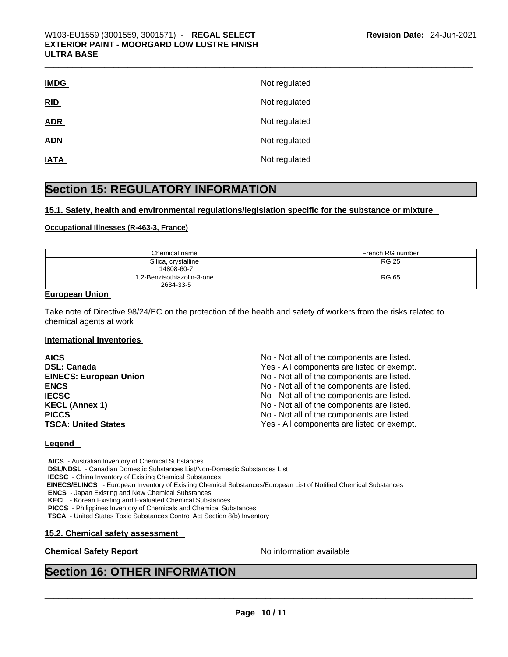| <b>IMDG</b> | Not regulated |
|-------------|---------------|
| RID         | Not regulated |
| <b>ADR</b>  | Not regulated |
| <b>ADN</b>  | Not regulated |
| <b>IATA</b> | Not regulated |

# **Section 15: REGULATORY INFORMATION**

#### **15.1. Safety, health and environmental regulations/legislation specific for the substance or mixture**

#### **Occupational Illnesses (R-463-3, France)**

| Chemical name                           | French RG number |
|-----------------------------------------|------------------|
| Silica, crystalline<br>14808-60-7       | <b>RG 25</b>     |
| 1,2-Benzisothiazolin-3-one<br>2634-33-5 | <b>RG 65</b>     |

# **European Union**

Take note of Directive 98/24/EC on the protection of the health and safety of workers from the risks related to chemical agents at work

#### **International Inventories**

| <b>AICS</b>                   | No - Not all of the components are listed. |
|-------------------------------|--------------------------------------------|
| <b>DSL: Canada</b>            | Yes - All components are listed or exempt. |
| <b>EINECS: European Union</b> | No - Not all of the components are listed. |
| <b>ENCS</b>                   | No - Not all of the components are listed. |
| <b>IECSC</b>                  | No - Not all of the components are listed. |
| <b>KECL (Annex 1)</b>         | No - Not all of the components are listed. |
| <b>PICCS</b>                  | No - Not all of the components are listed. |
| <b>TSCA: United States</b>    | Yes - All components are listed or exempt. |

#### **Legend**

**AICS** - Australian Inventory of Chemical Substances **DSL/NDSL** - Canadian Domestic Substances List/Non-Domestic Substances List **IECSC** - China Inventory of Existing Chemical Substances  **EINECS/ELINCS** - European Inventory of Existing Chemical Substances/European List of Notified Chemical Substances **ENCS** - Japan Existing and New Chemical Substances **KECL** - Korean Existing and Evaluated Chemical Substances **PICCS** - Philippines Inventory of Chemicals and Chemical Substances

**TSCA** - United States Toxic Substances Control Act Section 8(b) Inventory

#### **15.2. Chemical safety assessment**

# **Chemical Safety Report** No information available \_\_\_\_\_\_\_\_\_\_\_\_\_\_\_\_\_\_\_\_\_\_\_\_\_\_\_\_\_\_\_\_\_\_\_\_\_\_\_\_\_\_\_\_\_\_\_\_\_\_\_\_\_\_\_\_\_\_\_\_\_\_\_\_\_\_\_\_\_\_\_\_\_\_\_\_\_\_\_\_\_\_\_\_\_\_\_\_\_\_\_\_\_ **Section 16: OTHER INFORMATION**